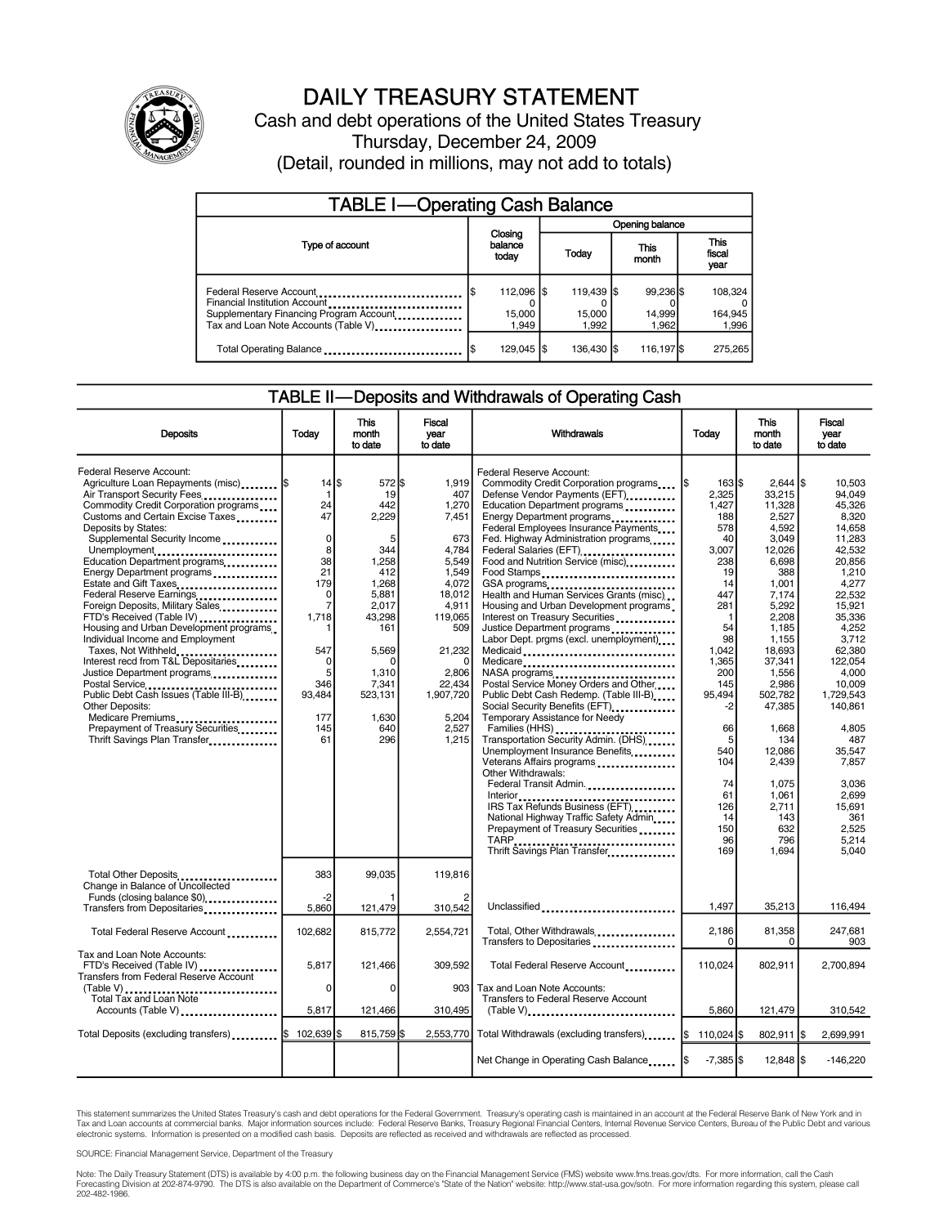

# DAILY TREASURY STATEMENT

Cash and debt operations of the United States Treasury Thursday, December 24, 2009 (Detail, rounded in millions, may not add to totals)

| <b>TABLE I-Operating Cash Balance</b>                                                                                                       |                              |                               |                              |                               |  |  |  |
|---------------------------------------------------------------------------------------------------------------------------------------------|------------------------------|-------------------------------|------------------------------|-------------------------------|--|--|--|
|                                                                                                                                             |                              | Opening balance               |                              |                               |  |  |  |
| Type of account                                                                                                                             | Closing<br>balance<br>today  | Today                         | <b>This</b><br>month         | <b>This</b><br>fiscal<br>year |  |  |  |
| Federal Reserve Account<br>Financial Institution Account<br>Supplementary Financing Program Account<br>Tax and Loan Note Accounts (Table V) | 112.096 S<br>15,000<br>1.949 | 119.439 \$<br>15,000<br>1.992 | 99.236 \$<br>14,999<br>1.962 | 108,324<br>164,945<br>1,996   |  |  |  |
| Total Operating Balance                                                                                                                     | 129,045   \$<br>IS           | 136,430 \$                    | 116,197 \$                   | 275.265                       |  |  |  |

## TABLE II—Deposits and Withdrawals of Operating Cash

| <b>Deposits</b>                                                                                                                                                                                                                                                                                                                                                                                                                                                                                                                                                                                                                                                                                                                                                                               | Todav                                                                                                                                                                       | <b>This</b><br>month<br>to date                                                                                                                                               | <b>Fiscal</b><br>vear<br>to date                                                                                                                                                    | Withdrawals                                                                                                                                                                                                                                                                                                                                                                                                                                                                                                                                                                                                                                                                                                                                                                                                                                                                                                                                                                                                                                             | Today                                                                                                                                                                                                                                         | <b>This</b><br>month<br>to date                                                                                                                                                                                                                                                                   | <b>Fiscal</b><br>vear<br>to date                                                                                                                                                                                                                                                                               |
|-----------------------------------------------------------------------------------------------------------------------------------------------------------------------------------------------------------------------------------------------------------------------------------------------------------------------------------------------------------------------------------------------------------------------------------------------------------------------------------------------------------------------------------------------------------------------------------------------------------------------------------------------------------------------------------------------------------------------------------------------------------------------------------------------|-----------------------------------------------------------------------------------------------------------------------------------------------------------------------------|-------------------------------------------------------------------------------------------------------------------------------------------------------------------------------|-------------------------------------------------------------------------------------------------------------------------------------------------------------------------------------|---------------------------------------------------------------------------------------------------------------------------------------------------------------------------------------------------------------------------------------------------------------------------------------------------------------------------------------------------------------------------------------------------------------------------------------------------------------------------------------------------------------------------------------------------------------------------------------------------------------------------------------------------------------------------------------------------------------------------------------------------------------------------------------------------------------------------------------------------------------------------------------------------------------------------------------------------------------------------------------------------------------------------------------------------------|-----------------------------------------------------------------------------------------------------------------------------------------------------------------------------------------------------------------------------------------------|---------------------------------------------------------------------------------------------------------------------------------------------------------------------------------------------------------------------------------------------------------------------------------------------------|----------------------------------------------------------------------------------------------------------------------------------------------------------------------------------------------------------------------------------------------------------------------------------------------------------------|
| Federal Reserve Account:<br>Agriculture Loan Repayments (misc)  \$<br>Air Transport Security Fees<br>Commodity Credit Corporation programs<br>Customs and Certain Excise Taxes<br>Deposits by States:<br>Supplemental Security Income<br>Unemployment<br>Education Department programs<br>Energy Department programs<br>Estate and Gift Taxes<br>Federal Reserve Earnings<br>Foreign Deposits, Military Sales<br>FTD's Received (Table IV)<br>Housing and Urban Development programs<br>Individual Income and Employment<br>Taxes, Not Withheld<br>Interest recd from T&L Depositaries<br>Justice Department programs<br>Postal Service<br>Public Debt Cash Issues (Table III-B)<br>Other Deposits:<br>Medicare Premiums<br>Prepayment of Treasury Securities<br>Thrift Savings Plan Transfer | 14<br>$\mathbf 1$<br>24<br>47<br>$\mathbf 0$<br>8<br>38<br>21<br>179<br>$\mathbf 0$<br>$\overline{7}$<br>1,718<br>547<br>$\Omega$<br>5<br>346<br>93,484<br>177<br>145<br>61 | \$.<br>572 \$<br>19<br>442<br>2,229<br>5<br>344<br>1.258<br>412<br>1,268<br>5,881<br>2,017<br>43,298<br>161<br>5,569<br>n<br>1,310<br>7,341<br>523,131<br>1.630<br>640<br>296 | 1,919<br>407<br>1,270<br>7,451<br>673<br>4,784<br>5.549<br>1,549<br>4,072<br>18,012<br>4,911<br>119,065<br>509<br>21,232<br>2.806<br>22,434<br>1,907,720<br>5.204<br>2,527<br>1,215 | Federal Reserve Account:<br>Commodity Credit Corporation programs<br>Defense Vendor Payments (EFT)<br>Education Department programs<br>Energy Department programs<br>Federal Employees Insurance Payments<br>Fed. Highway Administration programs<br>Federal Salaries (EFT)<br><br>Food and Nutrition Service (misc)<br>Food Stamps<br>GSA programs<br>Health and Human Services Grants (misc)<br>Housing and Urban Development programs<br>Interest on Treasury Securities<br>Justice Department programs<br>Labor Dept. prgms (excl. unemployment)<br>Medicaid<br>Medicare<br>Postal Service Money Orders and Other<br>Public Debt Cash Redemp. (Table III-B)<br>Social Security Benefits (EFT)<br><br>Temporary Assistance for Needy<br>Transportation Security Admin. (DHS)<br>Unemployment Insurance Benefits<br>Veterans Affairs programs<br>Other Withdrawals:<br>Federal Transit Admin.<br>IRS Tax Refunds Business (EFT)<br>National Highway Traffic Safety Admin<br>Prepayment of Treasury Securities<br>TARP<br>Thrift Savings Plan Transfer | $163$ $S$<br>2,325<br>1,427<br>188<br>578<br>40<br>3,007<br>238<br>19<br>14<br>447<br>281<br>$\mathbf{1}$<br>54<br>98<br>1,042<br>1,365<br>200<br>145<br>95.494<br>$-2$<br>66<br>5<br>540<br>104<br>74<br>61<br>126<br>14<br>150<br>96<br>169 | $2.644$ \\$<br>33,215<br>11,328<br>2,527<br>4,592<br>3,049<br>12,026<br>6,698<br>388<br>1,001<br>7,174<br>5,292<br>2,208<br>1,185<br>1,155<br>18,693<br>37,341<br>1,556<br>2,986<br>502,782<br>47,385<br>1,668<br>134<br>12,086<br>2,439<br>1.075<br>1,061<br>2,711<br>143<br>632<br>796<br>1,694 | 10.503<br>94.049<br>45,326<br>8.320<br>14.658<br>11.283<br>42.532<br>20.856<br>1,210<br>4,277<br>22,532<br>15.921<br>35.336<br>4.252<br>3.712<br>62,380<br>122.054<br>4.000<br>10.009<br>1.729.543<br>140.861<br>4,805<br>487<br>35.547<br>7.857<br>3.036<br>2,699<br>15,691<br>361<br>2,525<br>5,214<br>5.040 |
| Total Other Deposits<br>Change in Balance of Uncollected<br>Funds (closing balance \$0)                                                                                                                                                                                                                                                                                                                                                                                                                                                                                                                                                                                                                                                                                                       | 383<br>$-2$                                                                                                                                                                 | 99,035                                                                                                                                                                        | 119,816                                                                                                                                                                             |                                                                                                                                                                                                                                                                                                                                                                                                                                                                                                                                                                                                                                                                                                                                                                                                                                                                                                                                                                                                                                                         |                                                                                                                                                                                                                                               |                                                                                                                                                                                                                                                                                                   |                                                                                                                                                                                                                                                                                                                |
| Transfers from Depositaries                                                                                                                                                                                                                                                                                                                                                                                                                                                                                                                                                                                                                                                                                                                                                                   | 5,860                                                                                                                                                                       | 121,479                                                                                                                                                                       | 310,542                                                                                                                                                                             | Unclassified                                                                                                                                                                                                                                                                                                                                                                                                                                                                                                                                                                                                                                                                                                                                                                                                                                                                                                                                                                                                                                            | 1,497                                                                                                                                                                                                                                         | 35,213                                                                                                                                                                                                                                                                                            | 116,494                                                                                                                                                                                                                                                                                                        |
| Total Federal Reserve Account                                                                                                                                                                                                                                                                                                                                                                                                                                                                                                                                                                                                                                                                                                                                                                 | 102.682                                                                                                                                                                     | 815,772                                                                                                                                                                       | 2,554,721                                                                                                                                                                           | Total, Other Withdrawals                                                                                                                                                                                                                                                                                                                                                                                                                                                                                                                                                                                                                                                                                                                                                                                                                                                                                                                                                                                                                                | 2,186<br>0                                                                                                                                                                                                                                    | 81,358<br>0                                                                                                                                                                                                                                                                                       | 247,681<br>903                                                                                                                                                                                                                                                                                                 |
| Tax and Loan Note Accounts:<br>FTD's Received (Table IV)<br><b>Transfers from Federal Reserve Account</b>                                                                                                                                                                                                                                                                                                                                                                                                                                                                                                                                                                                                                                                                                     | 5,817<br>$\Omega$                                                                                                                                                           | 121.466<br>$\Omega$                                                                                                                                                           | 309.592                                                                                                                                                                             | Total Federal Reserve Account                                                                                                                                                                                                                                                                                                                                                                                                                                                                                                                                                                                                                                                                                                                                                                                                                                                                                                                                                                                                                           | 110.024                                                                                                                                                                                                                                       | 802,911                                                                                                                                                                                                                                                                                           | 2.700.894                                                                                                                                                                                                                                                                                                      |
| $(Table V)$<br>Total Tax and Loan Note                                                                                                                                                                                                                                                                                                                                                                                                                                                                                                                                                                                                                                                                                                                                                        |                                                                                                                                                                             |                                                                                                                                                                               | 903 <sub>l</sub>                                                                                                                                                                    | Tax and Loan Note Accounts:<br>Transfers to Federal Reserve Account                                                                                                                                                                                                                                                                                                                                                                                                                                                                                                                                                                                                                                                                                                                                                                                                                                                                                                                                                                                     |                                                                                                                                                                                                                                               |                                                                                                                                                                                                                                                                                                   |                                                                                                                                                                                                                                                                                                                |
| Accounts (Table V)                                                                                                                                                                                                                                                                                                                                                                                                                                                                                                                                                                                                                                                                                                                                                                            | 5,817                                                                                                                                                                       | 121,466                                                                                                                                                                       | 310,495                                                                                                                                                                             |                                                                                                                                                                                                                                                                                                                                                                                                                                                                                                                                                                                                                                                                                                                                                                                                                                                                                                                                                                                                                                                         | 5,860                                                                                                                                                                                                                                         | 121,479                                                                                                                                                                                                                                                                                           | 310,542                                                                                                                                                                                                                                                                                                        |
| Total Deposits (excluding transfers) S                                                                                                                                                                                                                                                                                                                                                                                                                                                                                                                                                                                                                                                                                                                                                        | 102.6391\$                                                                                                                                                                  | 815,759 \$                                                                                                                                                                    |                                                                                                                                                                                     | 2,553,770 Total Withdrawals (excluding transfers) [\$110,024                                                                                                                                                                                                                                                                                                                                                                                                                                                                                                                                                                                                                                                                                                                                                                                                                                                                                                                                                                                            |                                                                                                                                                                                                                                               | 802,911 \$                                                                                                                                                                                                                                                                                        | 2,699,991                                                                                                                                                                                                                                                                                                      |
|                                                                                                                                                                                                                                                                                                                                                                                                                                                                                                                                                                                                                                                                                                                                                                                               |                                                                                                                                                                             |                                                                                                                                                                               |                                                                                                                                                                                     |                                                                                                                                                                                                                                                                                                                                                                                                                                                                                                                                                                                                                                                                                                                                                                                                                                                                                                                                                                                                                                                         | $-7,385$ \$                                                                                                                                                                                                                                   | 12,848 \$                                                                                                                                                                                                                                                                                         | $-146,220$                                                                                                                                                                                                                                                                                                     |

This statement summarizes the United States Treasury's cash and debt operations for the Federal Government. Treasury's operating cash is maintained in an account at the Federal Reserve Bank of New York and in<br>Tax and Loan

SOURCE: Financial Management Service, Department of the Treasury

Note: The Daily Treasury Statement (DTS) is available by 4:00 p.m. the following business day on the Financial Management Service (FMS) website www.fms.treas.gov/dts. For more information, call the Cash Forecasting Division at 202-874-9790. The DTS is also available on the Department of Commerce's "State of the Nation" website: http://www.stat-usa.gov/sotn. For more information regarding this system, please call<br>202-482-1